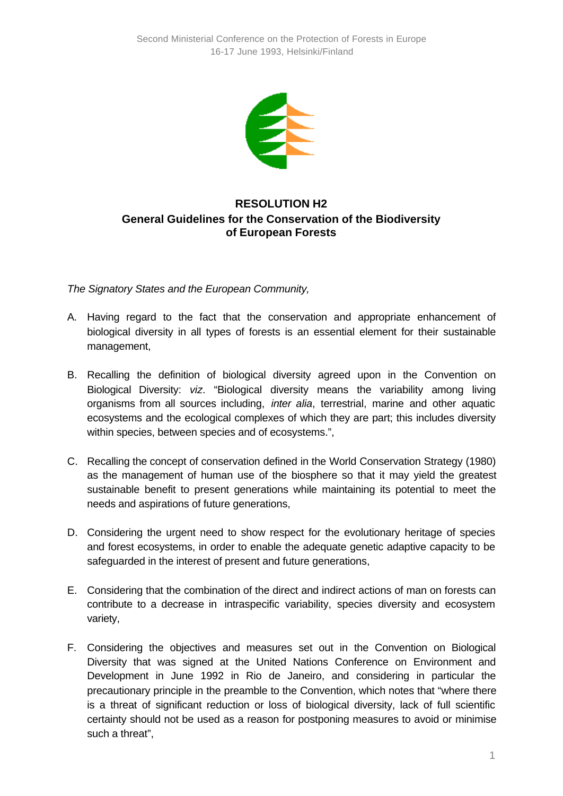

## **RESOLUTION H2 General Guidelines for the Conservation of the Biodiversity of European Forests**

*The Signatory States and the European Community,*

- A. Having regard to the fact that the conservation and appropriate enhancement of biological diversity in all types of forests is an essential element for their sustainable management,
- B. Recalling the definition of biological diversity agreed upon in the Convention on Biological Diversity: *viz*. "Biological diversity means the variability among living organisms from all sources including, *inter alia*, terrestrial, marine and other aquatic ecosystems and the ecological complexes of which they are part; this includes diversity within species, between species and of ecosystems.",
- C. Recalling the concept of conservation defined in the World Conservation Strategy (1980) as the management of human use of the biosphere so that it may yield the greatest sustainable benefit to present generations while maintaining its potential to meet the needs and aspirations of future generations,
- D. Considering the urgent need to show respect for the evolutionary heritage of species and forest ecosystems, in order to enable the adequate genetic adaptive capacity to be safeguarded in the interest of present and future generations,
- E. Considering that the combination of the direct and indirect actions of man on forests can contribute to a decrease in intraspecific variability, species diversity and ecosystem variety,
- F. Considering the objectives and measures set out in the Convention on Biological Diversity that was signed at the United Nations Conference on Environment and Development in June 1992 in Rio de Janeiro, and considering in particular the precautionary principle in the preamble to the Convention, which notes that "where there is a threat of significant reduction or loss of biological diversity, lack of full scientific certainty should not be used as a reason for postponing measures to avoid or minimise such a threat",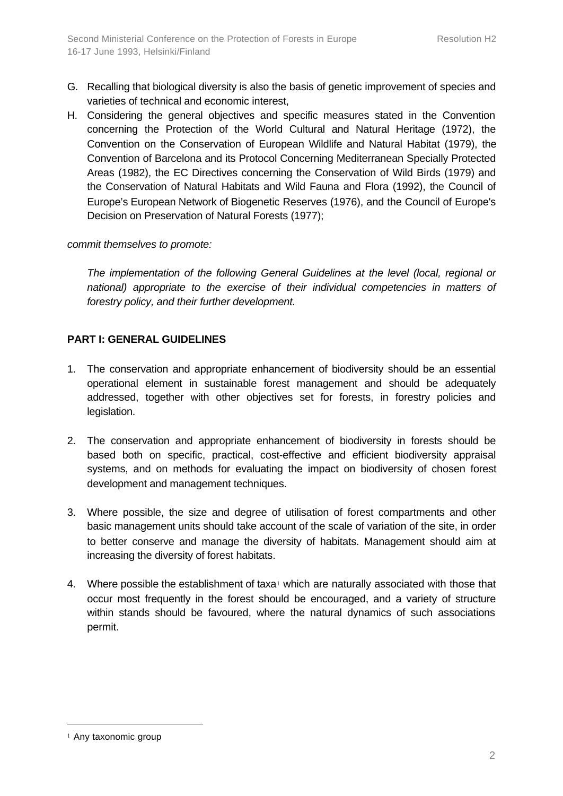- G. Recalling that biological diversity is also the basis of genetic improvement of species and varieties of technical and economic interest,
- H. Considering the general objectives and specific measures stated in the Convention concerning the Protection of the World Cultural and Natural Heritage (1972), the Convention on the Conservation of European Wildlife and Natural Habitat (1979), the Convention of Barcelona and its Protocol Concerning Mediterranean Specially Protected Areas (1982), the EC Directives concerning the Conservation of Wild Birds (1979) and the Conservation of Natural Habitats and Wild Fauna and Flora (1992), the Council of Europe's European Network of Biogenetic Reserves (1976), and the Council of Europe's Decision on Preservation of Natural Forests (1977);

## *commit themselves to promote:*

*The implementation of the following General Guidelines at the level (local, regional or national) appropriate to the exercise of their individual competencies in matters of forestry policy, and their further development.*

## **PART I: GENERAL GUIDELINES**

- 1. The conservation and appropriate enhancement of biodiversity should be an essential operational element in sustainable forest management and should be adequately addressed, together with other objectives set for forests, in forestry policies and legislation.
- 2. The conservation and appropriate enhancement of biodiversity in forests should be based both on specific, practical, cost-effective and efficient biodiversity appraisal systems, and on methods for evaluating the impact on biodiversity of chosen forest development and management techniques.
- 3. Where possible, the size and degree of utilisation of forest compartments and other basic management units should take account of the scale of variation of the site, in order to better conserve and manage the diversity of habitats. Management should aim at increasing the diversity of forest habitats.
- 4. Where possible the establishment of taxa<sup>1</sup> which are naturally associated with those that occur most frequently in the forest should be encouraged, and a variety of structure within stands should be favoured, where the natural dynamics of such associations permit.

l

<sup>1</sup> Any taxonomic group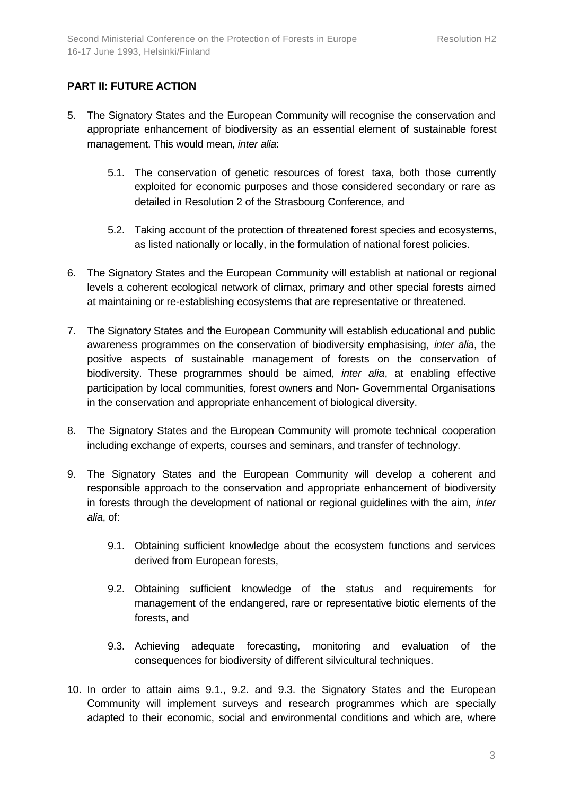## **PART II: FUTURE ACTION**

- 5. The Signatory States and the European Community will recognise the conservation and appropriate enhancement of biodiversity as an essential element of sustainable forest management. This would mean, *inter alia*:
	- 5.1. The conservation of genetic resources of forest taxa, both those currently exploited for economic purposes and those considered secondary or rare as detailed in Resolution 2 of the Strasbourg Conference, and
	- 5.2. Taking account of the protection of threatened forest species and ecosystems, as listed nationally or locally, in the formulation of national forest policies.
- 6. The Signatory States and the European Community will establish at national or regional levels a coherent ecological network of climax, primary and other special forests aimed at maintaining or re-establishing ecosystems that are representative or threatened.
- 7. The Signatory States and the European Community will establish educational and public awareness programmes on the conservation of biodiversity emphasising, *inter alia*, the positive aspects of sustainable management of forests on the conservation of biodiversity. These programmes should be aimed, *inter alia*, at enabling effective participation by local communities, forest owners and Non- Governmental Organisations in the conservation and appropriate enhancement of biological diversity.
- 8. The Signatory States and the European Community will promote technical cooperation including exchange of experts, courses and seminars, and transfer of technology.
- 9. The Signatory States and the European Community will develop a coherent and responsible approach to the conservation and appropriate enhancement of biodiversity in forests through the development of national or regional guidelines with the aim, *inter alia*, of:
	- 9.1. Obtaining sufficient knowledge about the ecosystem functions and services derived from European forests,
	- 9.2. Obtaining sufficient knowledge of the status and requirements for management of the endangered, rare or representative biotic elements of the forests, and
	- 9.3. Achieving adequate forecasting, monitoring and evaluation of the consequences for biodiversity of different silvicultural techniques.
- 10. In order to attain aims 9.1., 9.2. and 9.3. the Signatory States and the European Community will implement surveys and research programmes which are specially adapted to their economic, social and environmental conditions and which are, where